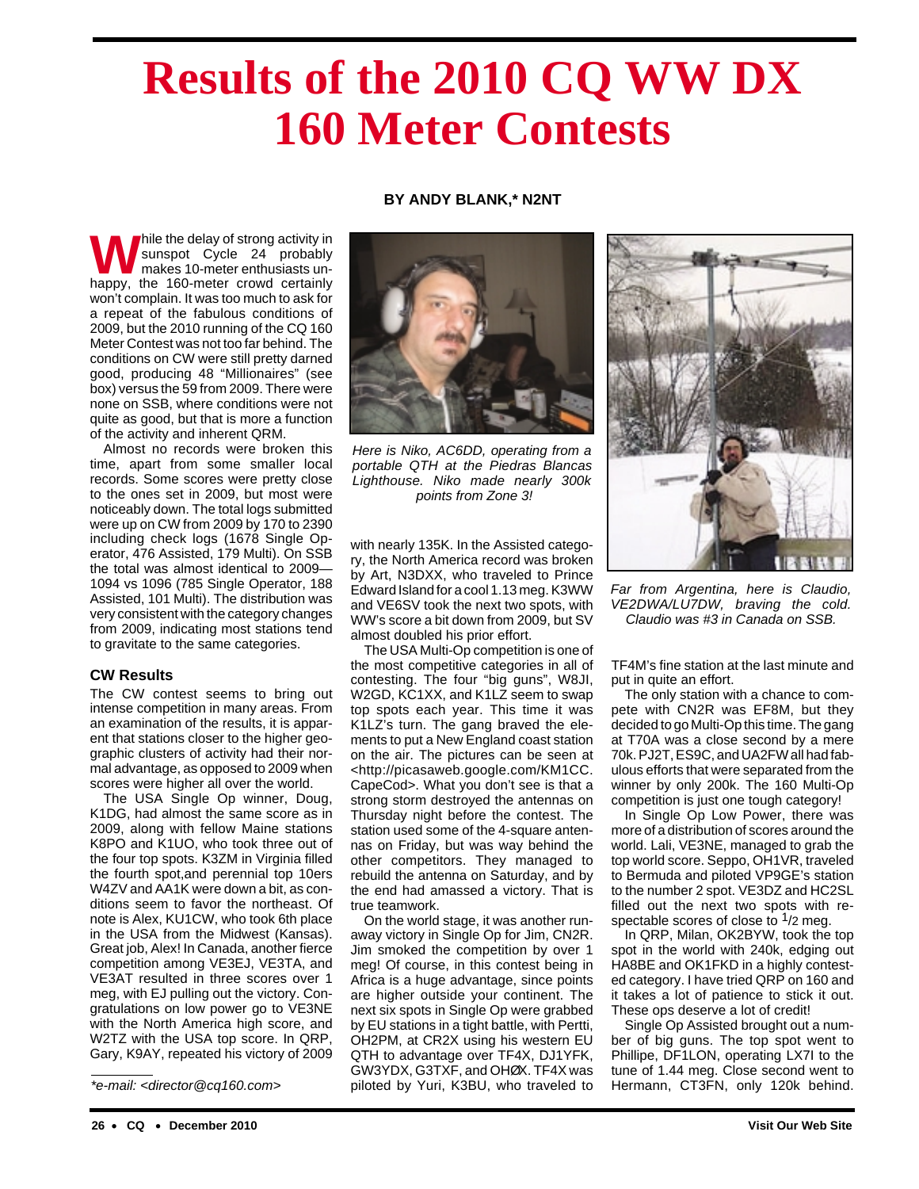# **Results of the 2010 CQ WW DX 160 Meter Contests**

# **BY ANDY BLANK,\* N2NT**

While the delay of strong activity in<br>sunspot Cycle 24 probably<br>makes 10-meter enthusiasts un-<br>hanny the 160 meter crowd certainly sunspot Cycle 24 probably makes 10-meter enthusiasts unhappy, the 160-meter crowd certainly won't complain. It was too much to ask for a repeat of the fabulous conditions of 2009, but the 2010 running of the CQ 160 Meter Contest was not too far behind. The conditions on CW were still pretty darned good, producing 48 "Millionaires" (see box) versus the 59 from 2009. There were none on SSB, where conditions were not quite as good, but that is more a function of the activity and inherent QRM.

Almost no records were broken this time, apart from some smaller local records. Some scores were pretty close to the ones set in 2009, but most were noticeably down. The total logs submitted were up on CW from 2009 by 170 to 2390 including check logs (1678 Single Operator, 476 Assisted, 179 Multi). On SSB the total was almost identical to 2009— 1094 vs 1096 (785 Single Operator, 188 Assisted, 101 Multi). The distribution was very consistent with the category changes from 2009, indicating most stations tend to gravitate to the same categories.

## **CW Results**

The CW contest seems to bring out intense competition in many areas. From an examination of the results, it is apparent that stations closer to the higher geographic clusters of activity had their normal advantage, as opposed to 2009 when scores were higher all over the world.

The USA Single Op winner, Doug, K1DG, had almost the same score as in 2009, along with fellow Maine stations K8PO and K1UO, who took three out of the four top spots. K3ZM in Virginia filled the fourth spot,and perennial top 10ers W4ZV and AA1K were down a bit, as conditions seem to favor the northeast. Of note is Alex, KU1CW, who took 6th place in the USA from the Midwest (Kansas). Great job, Alex! In Canada, another fierce competition among VE3EJ, VE3TA, and VE3AT resulted in three scores over 1 meg, with EJ pulling out the victory. Congratulations on low power go to VE3NE with the North America high score, and W2TZ with the USA top score. In QRP, Gary, K9AY, repeated his victory of 2009



Here is Niko, AC6DD, operating from a portable QTH at the Piedras Blancas Lighthouse. Niko made nearly 300k points from Zone 3!

with nearly 135K. In the Assisted category, the North America record was broken by Art, N3DXX, who traveled to Prince Edward Island for a cool 1.13 meg. K3WW and VE6SV took the next two spots, with WW's score a bit down from 2009, but SV almost doubled his prior effort.

The USA Multi-Op competition is one of the most competitive categories in all of contesting. The four "big guns", W8JI, W2GD, KC1XX, and K1LZ seem to swap top spots each year. This time it was K1LZ's turn. The gang braved the elements to put a New England coast station on the air. The pictures can be seen at <http://picasaweb.google.com/KM1CC. CapeCod>. What you don't see is that a strong storm destroyed the antennas on Thursday night before the contest. The station used some of the 4-square antennas on Friday, but was way behind the other competitors. They managed to rebuild the antenna on Saturday, and by the end had amassed a victory. That is true teamwork.

On the world stage, it was another runaway victory in Single Op for Jim, CN2R. Jim smoked the competition by over 1 meg! Of course, in this contest being in Africa is a huge advantage, since points are higher outside your continent. The next six spots in Single Op were grabbed by EU stations in a tight battle, with Pertti, OH2PM, at CR2X using his western EU QTH to advantage over TF4X, DJ1YFK, GW3YDX, G3TXF, and OHØX. TF4X was \*e-mail: <director@cq160.com> piloted by Yuri, K3BU, who traveled to Hermann, CT3FN, only 120k behind.



Far from Argentina, here is Claudio, VE2DWA/LU7DW, braving the cold. Claudio was #3 in Canada on SSB.

TF4M's fine station at the last minute and put in quite an effort.

The only station with a chance to compete with CN2R was EF8M, but they decided to go Multi-Op this time. The gang at T70A was a close second by a mere 70k. PJ2T, ES9C, and UA2FW all had fabulous efforts that were separated from the winner by only 200k. The 160 Multi-Op competition is just one tough category!

In Single Op Low Power, there was more of a distribution of scores around the world. Lali, VE3NE, managed to grab the top world score. Seppo, OH1VR, traveled to Bermuda and piloted VP9GE's station to the number 2 spot. VE3DZ and HC2SL filled out the next two spots with respectable scores of close to  $1/2$  meg.

In QRP, Milan, OK2BYW, took the top spot in the world with 240k, edging out HA8BE and OK1FKD in a highly contested category. I have tried QRP on 160 and it takes a lot of patience to stick it out. These ops deserve a lot of credit!

Single Op Assisted brought out a number of big guns. The top spot went to Phillipe, DF1LON, operating LX7I to the tune of 1.44 meg. Close second went to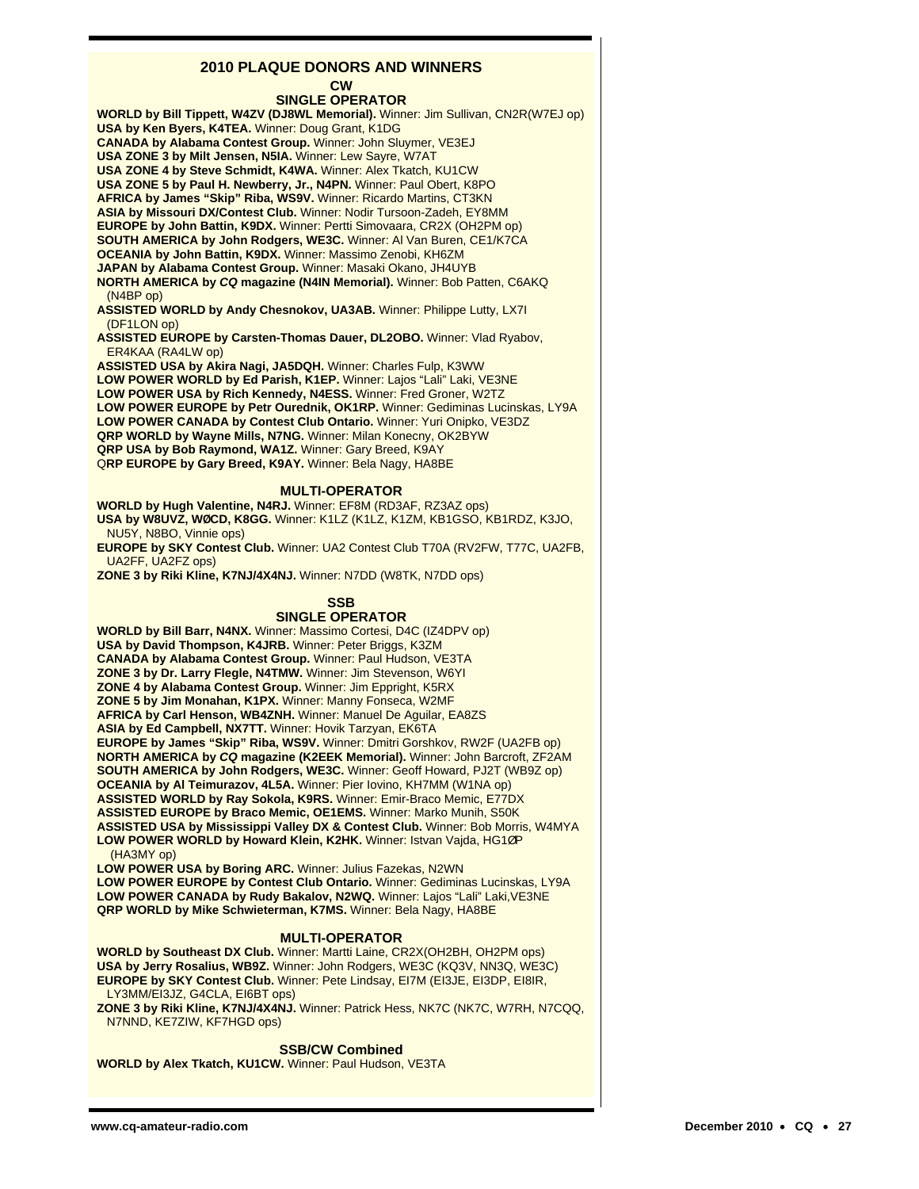# **2010 PLAQUE DONORS AND WINNERS**

**CW**

**SINGLE OPERATOR WORLD by Bill Tippett, W4ZV (DJ8WL Memorial).** Winner: Jim Sullivan, CN2R(W7EJ op) **USA by Ken Byers, K4TEA.** Winner: Doug Grant, K1DG **CANADA by Alabama Contest Group.** Winner: John Sluymer, VE3EJ **USA ZONE 3 by Milt Jensen, N5IA.** Winner: Lew Sayre, W7AT **USA ZONE 4 by Steve Schmidt, K4WA.** Winner: Alex Tkatch, KU1CW **USA ZONE 5 by Paul H. Newberry, Jr., N4PN.** Winner: Paul Obert, K8PO **AFRICA by James "Skip" Riba, WS9V.** Winner: Ricardo Martins, CT3KN **ASIA by Missouri DX/Contest Club.** Winner: Nodir Tursoon-Zadeh, EY8MM **EUROPE by John Battin, K9DX.** Winner: Pertti Simovaara, CR2X (OH2PM op) **SOUTH AMERICA by John Rodgers, WE3C.** Winner: Al Van Buren, CE1/K7CA **OCEANIA by John Battin, K9DX.** Winner: Massimo Zenobi, KH6ZM **JAPAN by Alabama Contest Group.** Winner: Masaki Okano, JH4UYB **NORTH AMERICA by CQ magazine (N4IN Memorial).** Winner: Bob Patten, C6AKQ (N4BP op) **ASSISTED WORLD by Andy Chesnokov, UA3AB.** Winner: Philippe Lutty, LX7I (DF1LON op) **ASSISTED EUROPE by Carsten-Thomas Dauer, DL2OBO.** Winner: Vlad Ryabov, ER4KAA (RA4LW op) **ASSISTED USA by Akira Nagi, JA5DQH.** Winner: Charles Fulp, K3WW **LOW POWER WORLD by Ed Parish, K1EP.** Winner: Lajos "Lali" Laki, VE3NE **LOW POWER USA by Rich Kennedy, N4ESS.** Winner: Fred Groner, W2TZ **LOW POWER EUROPE by Petr Ourednik, OK1RP.** Winner: Gediminas Lucinskas, LY9A **LOW POWER CANADA by Contest Club Ontario.** Winner: Yuri Onipko, VE3DZ **QRP WORLD by Wayne Mills, N7NG.** Winner: Milan Konecny, OK2BYW **QRP USA by Bob Raymond, WA1Z.** Winner: Gary Breed, K9AY Q**RP EUROPE by Gary Breed, K9AY.** Winner: Bela Nagy, HA8BE **MULTI-OPERATOR WORLD by Hugh Valentine, N4RJ.** Winner: EF8M (RD3AF, RZ3AZ ops) **USA by W8UVZ, WØCD, K8GG.** Winner: K1LZ (K1LZ, K1ZM, KB1GSO, KB1RDZ, K3JO, NU5Y, N8BO, Vinnie ops) **EUROPE by SKY Contest Club.** Winner: UA2 Contest Club T70A (RV2FW, T77C, UA2FB, UA2FF, UA2FZ ops) **ZONE 3 by Riki Kline, K7NJ/4X4NJ.** Winner: N7DD (W8TK, N7DD ops) **SSB SINGLE OPERATOR WORLD by Bill Barr, N4NX.** Winner: Massimo Cortesi, D4C (IZ4DPV op) **USA by David Thompson, K4JRB.** Winner: Peter Briggs, K3ZM **CANADA by Alabama Contest Group.** Winner: Paul Hudson, VE3TA **ZONE 3 by Dr. Larry Flegle, N4TMW.** Winner: Jim Stevenson, W6YI **ZONE 4 by Alabama Contest Group.** Winner: Jim Eppright, K5RX **ZONE 5 by Jim Monahan, K1PX.** Winner: Manny Fonseca, W2MF **AFRICA by Carl Henson, WB4ZNH.** Winner: Manuel De Aguilar, EA8ZS **ASIA by Ed Campbell, NX7TT.** Winner: Hovik Tarzyan, EK6TA **EUROPE by James "Skip" Riba, WS9V.** Winner: Dmitri Gorshkov, RW2F (UA2FB op) **NORTH AMERICA by CQ magazine (K2EEK Memorial).** Winner: John Barcroft, ZF2AM **SOUTH AMERICA by John Rodgers, WE3C.** Winner: Geoff Howard, PJ2T (WB9Z op) **OCEANIA by Al Teimurazov, 4L5A.** Winner: Pier Iovino, KH7MM (W1NA op) **ASSISTED WORLD by Ray Sokola, K9RS.** Winner: Emir-Braco Memic, E77DX **ASSISTED EUROPE by Braco Memic, OE1EMS.** Winner: Marko Munih, S50K **ASSISTED USA by Mississippi Valley DX & Contest Club.** Winner: Bob Morris, W4MYA **LOW POWER WORLD by Howard Klein, K2HK.** Winner: Istvan Vajda, HG1ØP (HA3MY op) **LOW POWER USA by Boring ARC.** Winner: Julius Fazekas, N2WN **LOW POWER EUROPE by Contest Club Ontario.** Winner: Gediminas Lucinskas, LY9A **LOW POWER CANADA by Rudy Bakalov, N2WQ.** Winner: Lajos "Lali" Laki,VE3NE **QRP WORLD by Mike Schwieterman, K7MS.** Winner: Bela Nagy, HA8BE

## **MULTI-OPERATOR**

**WORLD by Southeast DX Club.** Winner: Martti Laine, CR2X(OH2BH, OH2PM ops) **USA by Jerry Rosalius, WB9Z.** Winner: John Rodgers, WE3C (KQ3V, NN3Q, WE3C) **EUROPE by SKY Contest Club.** Winner: Pete Lindsay, EI7M (EI3JE, EI3DP, EI8IR, LY3MM/EI3JZ, G4CLA, EI6BT ops)

**ZONE 3 by Riki Kline, K7NJ/4X4NJ.** Winner: Patrick Hess, NK7C (NK7C, W7RH, N7CQQ, N7NND, KE7ZIW, KF7HGD ops)

#### **SSB/CW Combined**

**WORLD by Alex Tkatch, KU1CW.** Winner: Paul Hudson, VE3TA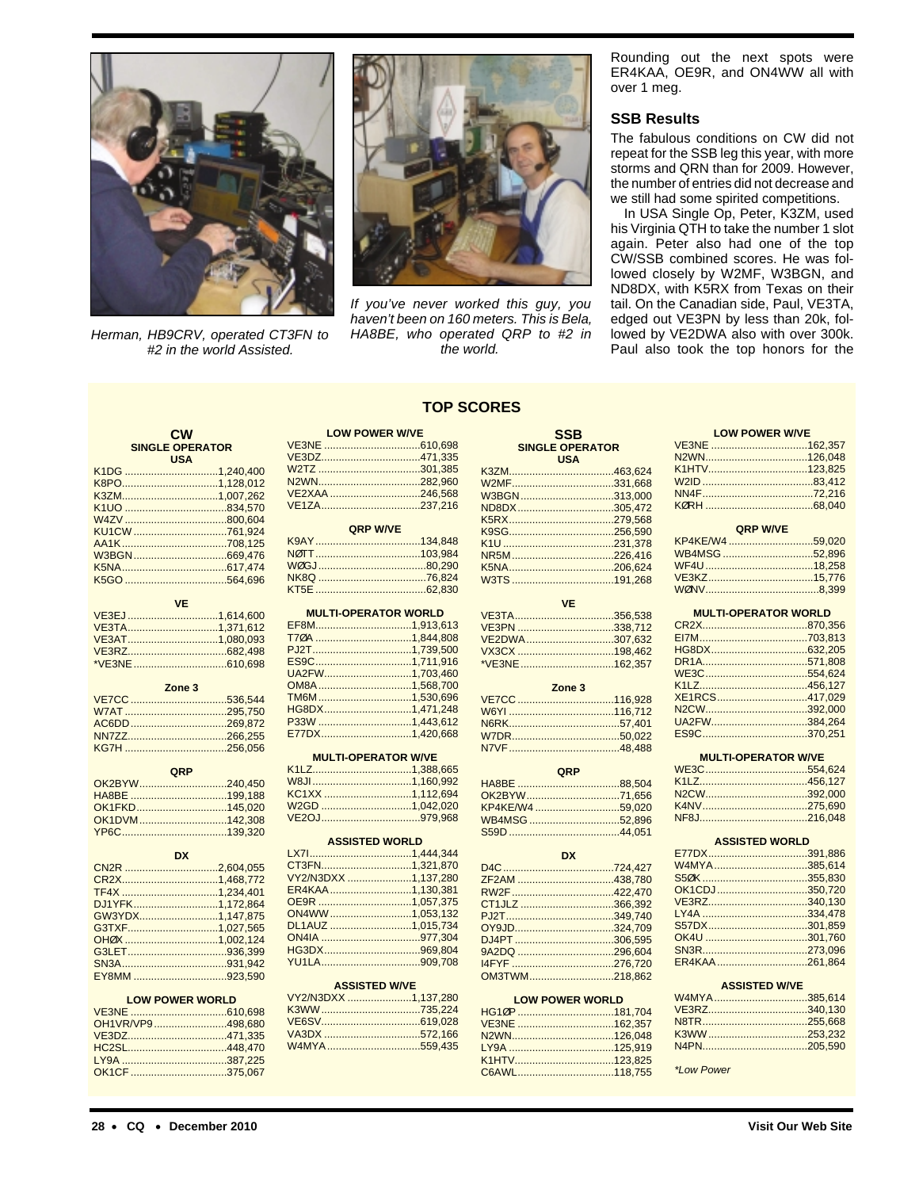

Herman, HB9CRV, operated CT3FN to #2 in the world Assisted.



If you've never worked this guy, you haven't been on 160 meters. This is Bela, HA8BE, who operated QRP to #2 in the world.

Rounding out the next spots were ER4KAA, OE9R, and ON4WW all with over 1 meg.

#### **SSB Results**

The fabulous conditions on CW did not repeat for the SSB leg this year, with more storms and QRN than for 2009. However, the number of entries did not decrease and we still had some spirited competitions.

In USA Single Op, Peter, K3ZM, used his Virginia QTH to take the number 1 slot again. Peter also had one of the top CW/SSB combined scores. He was followed closely by W2MF, W3BGN, and ND8DX, with K5RX from Texas on their tail. On the Canadian side, Paul, VE3TA, edged out VE3PN by less than 20k, followed by VE2DWA also with over 300k. Paul also took the top honors for the

# **TOP SCORES**

| <b>CW</b> |                        | <b>LOW POWER W/VE</b> |                             |               | <b>SSB</b>             | <b>LOW POWER W/VE</b> |                             |
|-----------|------------------------|-----------------------|-----------------------------|---------------|------------------------|-----------------------|-----------------------------|
|           | <b>SINGLE OPERATOR</b> |                       |                             |               | <b>SINGLE OPERATOR</b> |                       |                             |
|           | <b>USA</b>             |                       |                             |               | <b>USA</b>             |                       |                             |
|           | K1DG 1,240,400         |                       | W2TZ 301.385                |               |                        |                       |                             |
|           | K8PO1,128,012          |                       |                             |               | W2MF331.668            |                       |                             |
|           | K3ZM1,007.262          |                       | VE2XAA 246,568              |               | W3BGN313,000           |                       |                             |
|           |                        |                       | VE1ZA237.216                |               | ND8DX305.472           |                       |                             |
|           |                        |                       |                             |               |                        |                       |                             |
|           |                        |                       | QRP W/VE                    |               |                        |                       | QRP W/VE                    |
|           | KU1CW 761.924          |                       |                             |               |                        |                       |                             |
|           |                        |                       |                             |               |                        | KP4KE/W4 59,020       |                             |
|           |                        |                       |                             | NR5M226.416   |                        | WB4MSG52.896          |                             |
|           |                        |                       |                             |               |                        |                       |                             |
|           |                        |                       |                             |               |                        |                       |                             |
|           |                        |                       |                             |               |                        |                       |                             |
|           | <b>VE</b>              |                       |                             |               | <b>VE</b>              |                       |                             |
|           | VE3EJ 1,614,600        |                       | <b>MULTI-OPERATOR WORLD</b> |               | VE3TA356.538           |                       | <b>MULTI-OPERATOR WORLD</b> |
|           | VE3TA1,371,612         |                       | EF8M1,913,613               |               | VE3PN 338,712          |                       |                             |
|           | VE3AT1,080,093         |                       |                             |               | VE2DWA307,632          |                       |                             |
|           |                        |                       |                             |               |                        |                       |                             |
|           |                        |                       |                             |               |                        |                       |                             |
|           |                        |                       | UA2FW1,703,460              |               | *VE3NE 162,357         |                       |                             |
|           |                        |                       |                             |               |                        |                       |                             |
|           | Zone 3                 |                       | OM8A1,568,700               |               | Zone 3                 |                       |                             |
|           | VE7CC 536,544          |                       | TM6M1,530.696               |               |                        | XE1RCS417.029         |                             |
|           |                        |                       | HG8DX1,471,248              |               |                        |                       |                             |
|           | AC6DD 269.872          |                       |                             |               |                        | UA2FW384.264          |                             |
|           |                        |                       | E77DX1,420,668              |               |                        |                       |                             |
|           |                        |                       |                             |               |                        |                       |                             |
|           |                        |                       | <b>MULTI-OPERATOR W/VE</b>  |               |                        |                       | <b>MULTI-OPERATOR W/VE</b>  |
|           | QRP                    |                       |                             |               | QRP                    |                       |                             |
|           | OK2BYW240,450          |                       |                             |               |                        |                       |                             |
|           | HA8BE 199,188          |                       | KC1XX 1,112,694             | OK2BYW71,656  |                        |                       |                             |
|           |                        |                       | W2GD 1,042,020              |               |                        |                       |                             |
|           | OK1FKD145,020          |                       |                             |               |                        |                       |                             |
|           |                        |                       |                             |               | WB4MSG52,896           |                       |                             |
|           | OK1DVM142,308          |                       |                             |               |                        |                       |                             |
|           |                        |                       |                             |               |                        |                       |                             |
|           |                        |                       | <b>ASSISTED WORLD</b>       |               |                        |                       | <b>ASSISTED WORLD</b>       |
|           | <b>DX</b>              |                       |                             |               | <b>DX</b>              |                       |                             |
|           | CN2R 2,604,055         |                       | CT3FN1,321,870              |               |                        | W4MYA385,614          |                             |
|           | CR2X1,468,772          |                       | VY2/N3DXX 1,137,280         | ZF2AM 438,780 |                        |                       |                             |
|           |                        |                       | ER4KAA1,130,381             |               |                        | OK1CDJ350.720         |                             |
|           | TF4X 1,234,401         |                       |                             |               |                        | VE3RZ340,130          |                             |
|           | DJ1YFK1,172,864        |                       |                             |               | CT1JLZ 366,392         |                       |                             |
|           | GW3YDX1,147,875        |                       | ON4WW1,053,132              |               |                        |                       |                             |
|           | G3TXF1,027,565         |                       | DL1AUZ 1,015,734            |               | OY9JD324,709           | S57DX301,859          |                             |
|           | OHØX 1.002.124         |                       |                             |               |                        |                       |                             |
|           |                        |                       |                             | 9A2DQ 296,604 |                        |                       |                             |
|           |                        |                       |                             |               |                        | ER4KAA261,864         |                             |
|           | EY8MM 923,590          |                       |                             |               | OM3TWM218.862          |                       |                             |
|           |                        |                       | <b>ASSISTED W/VE</b>        |               |                        |                       | <b>ASSISTED W/VE</b>        |
|           | <b>LOW POWER WORLD</b> |                       | VY2/N3DXX 1.137.280         |               | <b>LOW POWER WORLD</b> | W4MYA385.614          |                             |
|           |                        |                       |                             |               | HG10P 181,704          | VE3RZ340,130          |                             |
|           | OH1VR/VP9498.680       |                       |                             |               |                        |                       |                             |
|           |                        |                       |                             |               |                        |                       |                             |
|           | VE3DZ471,335           |                       | W4MYA559,435                |               |                        |                       |                             |
|           | HC2SL448,470           |                       |                             |               |                        |                       |                             |
|           | OK1CF 375,067          |                       |                             |               |                        | *Low Power            |                             |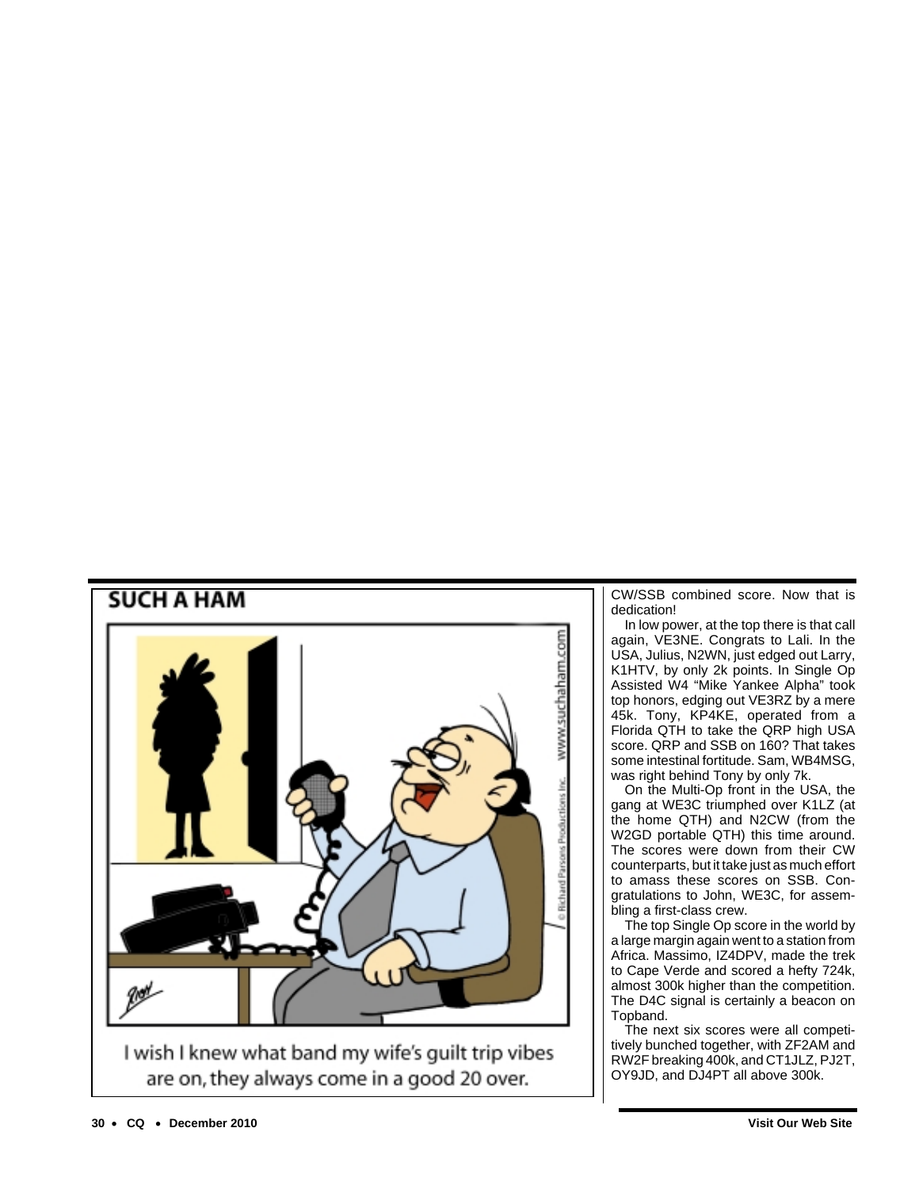

CW/SSB combined score. Now that is dedication!

In low power, at the top there is that call again, VE3NE. Congrats to Lali. In the USA, Julius, N2WN, just edged out Larry, K1HTV, by only 2k points. In Single Op Assisted W4 "Mike Yankee Alpha " took top honors, edging out VE3RZ by a mere 45k. Tony, KP4KE, operated from a Florida QTH to take the QRP high USA score. QRP and SSB on 160? That takes some intestinal fortitude. Sam, WB4MSG, was right behind Tony by only 7k.

On the Multi-Op front in the USA, the gang at WE3C triumphed over K1LZ (at the home QTH) and N2CW (from the W2GD portable QTH) this time around. The scores were down from their CW counterparts, but it take just as much effort to amass these scores on SSB. Congratulations to John, WE3C, for assembling a first-class crew.

The top Single Op score in the world by a large margin again went to a station from Africa. Massimo, IZ4DPV, made the trek to Cape Verde and scored a hefty 724k, almost 300k higher than the competition. The D4C signal is certainly a beacon on Topband.

The next six scores were all competitively bunched together, with ZF2AM and RW2F breaking 400k, and CT1JLZ, PJ2T, OY9JD, and DJ4PT all above 300k.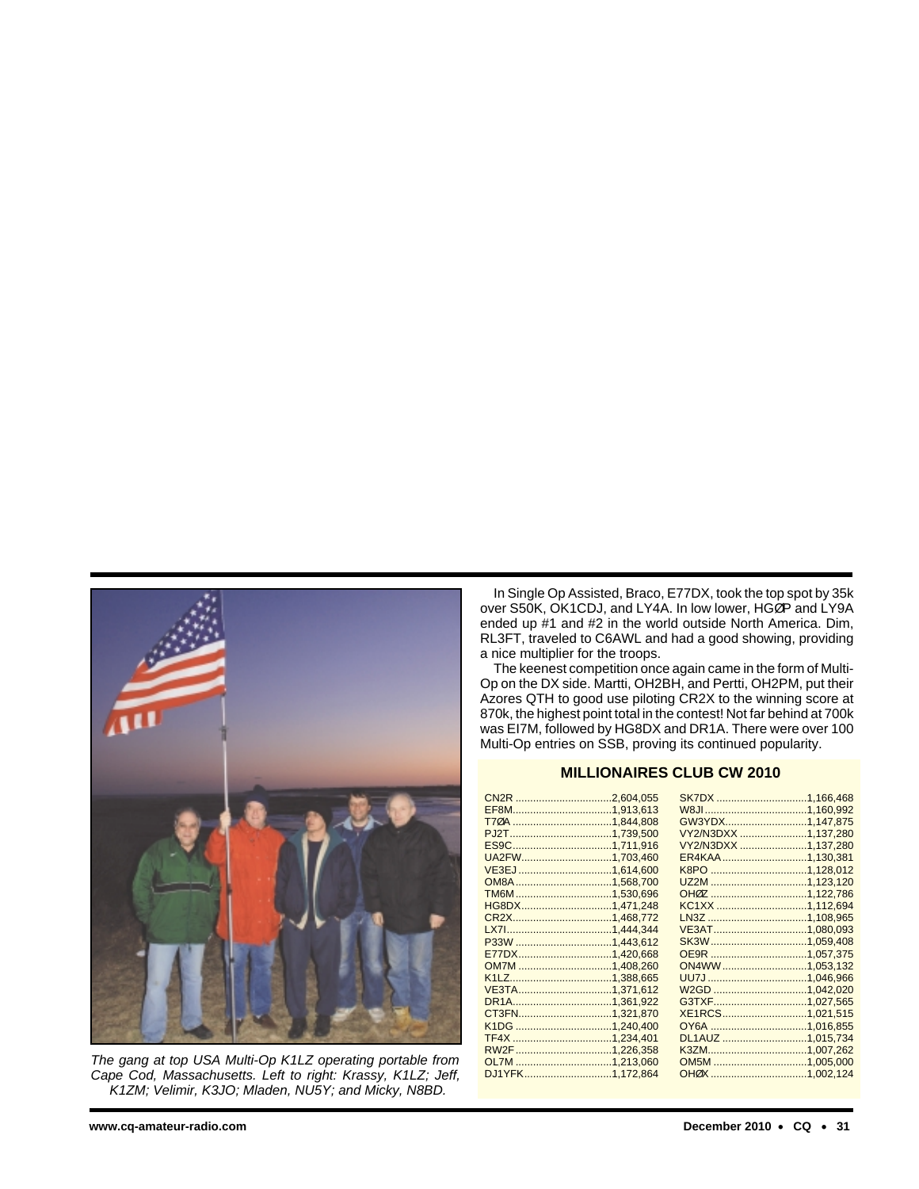

The gang at top USA Multi-Op K1LZ operating portable from Cape Cod, Massachusetts. Left to right: Krassy, K1LZ; Jeff, K1ZM; Velimir, K3JO; Mladen, NU5Y; and Micky, N8BD.

In Single Op Assisted, Braco, E77DX, took the top spot by 35k over S50K, OK1CDJ, and LY4A. In low lower, HGØP and LY9A ended up #1 and #2 in the world outside North America. Dim, RL3FT, traveled to C6AWL and had a good showing, providing a nice multiplier for the troops.

The keenest competition once again came in the form of Multi-Op on the DX side. Martti, OH2BH, and Pertti, OH2PM, put their Azores QTH to good use piloting CR2X to the winning score at 870k, the highest point total in the contest! Not far behind at 700k was EI7M, followed by HG8DX and DR1A. There were over 100 Multi-Op entries on SSB, proving its continued popularity.

## **MILLIONAIRES CLUB CW 2010**

| CN2R 2,604,055                | SK7DX 1,166,468        |  |
|-------------------------------|------------------------|--|
|                               |                        |  |
|                               | GW3YDX1,147,875        |  |
| PJ2T.                         |                        |  |
|                               | VY2/N3DXX 1.137.280    |  |
|                               | VY2/N3DXX 1,137,280    |  |
| UA2FW1,703,460                | ER4KAA 1,130,381       |  |
|                               |                        |  |
|                               | UZ2M 1,123,120         |  |
|                               | OH0Z 1,122,786         |  |
| HG8DX1,471,248                | KC1XX 1,112,694        |  |
|                               |                        |  |
|                               | <u>VE3AT1,080,093</u>  |  |
|                               |                        |  |
|                               |                        |  |
|                               | ON4WW1,053,132         |  |
| K <sub>1</sub> L <sub>Z</sub> |                        |  |
| VE3TA1,371,612                |                        |  |
| DR <sub>1</sub> A.            |                        |  |
| CT3FN1,321,870                | <u>XE1RCS1,021,515</u> |  |
|                               |                        |  |
|                               | DL1AUZ 1,015,734       |  |
|                               |                        |  |
|                               |                        |  |
| DJ1YFK1,172,864               |                        |  |
|                               |                        |  |